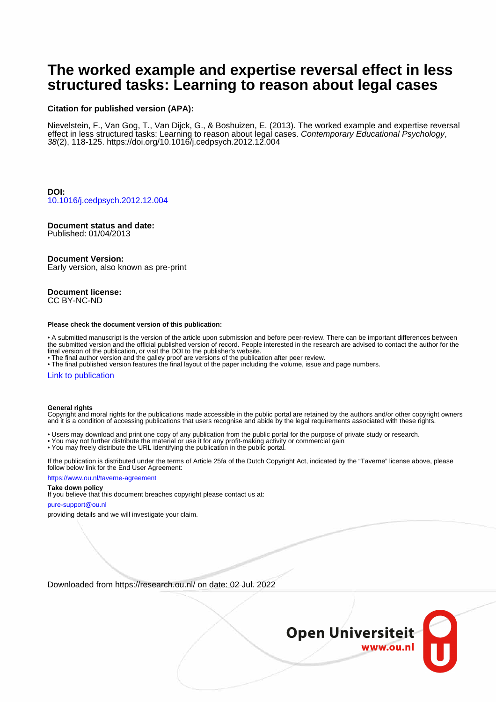# **The worked example and expertise reversal effect in less structured tasks: Learning to reason about legal cases**

#### **Citation for published version (APA):**

Nievelstein, F., Van Gog, T., Van Dijck, G., & Boshuizen, E. (2013). The worked example and expertise reversal effect in less structured tasks: Learning to reason about legal cases. Contemporary Educational Psychology, 38(2), 118-125.<https://doi.org/10.1016/j.cedpsych.2012.12.004>

**DOI:** [10.1016/j.cedpsych.2012.12.004](https://doi.org/10.1016/j.cedpsych.2012.12.004)

# **Document status and date:**

Published: 01/04/2013

#### **Document Version:**

Early version, also known as pre-print

#### **Document license:** CC BY-NC-ND

#### **Please check the document version of this publication:**

• A submitted manuscript is the version of the article upon submission and before peer-review. There can be important differences between the submitted version and the official published version of record. People interested in the research are advised to contact the author for the final version of the publication, or visit the DOI to the publisher's website.

• The final author version and the galley proof are versions of the publication after peer review.

• The final published version features the final layout of the paper including the volume, issue and page numbers.

#### [Link to publication](https://research.ou.nl/en/publications/c57574ce-05d7-4bd0-9499-771fdb64b9fa)

#### **General rights**

Copyright and moral rights for the publications made accessible in the public portal are retained by the authors and/or other copyright owners and it is a condition of accessing publications that users recognise and abide by the legal requirements associated with these rights.

- Users may download and print one copy of any publication from the public portal for the purpose of private study or research.
- You may not further distribute the material or use it for any profit-making activity or commercial gain
- You may freely distribute the URL identifying the publication in the public portal.

If the publication is distributed under the terms of Article 25fa of the Dutch Copyright Act, indicated by the "Taverne" license above, please follow below link for the End User Agreement:

#### https://www.ou.nl/taverne-agreement

#### **Take down policy**

If you believe that this document breaches copyright please contact us at:

#### pure-support@ou.nl

providing details and we will investigate your claim.

Downloaded from https://research.ou.nl/ on date: 02 Jul. 2022

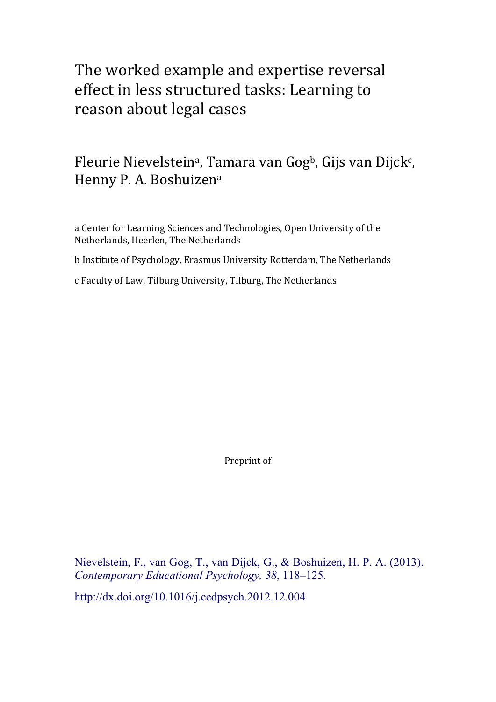# The worked example and expertise reversal effect in less structured tasks: Learning to reason about legal cases

# Fleurie Nievelstein<sup>a</sup>, Tamara van Gog<sup>b</sup>, Gijs van Dijck<sup>c</sup>, Henny P. A. Boshuizen<sup>a</sup>

a Center for Learning Sciences and Technologies, Open University of the Netherlands, Heerlen, The Netherlands

b Institute of Psychology, Erasmus University Rotterdam, The Netherlands

c Faculty of Law, Tilburg University, Tilburg, The Netherlands

Preprint of

Nievelstein, F., van Gog, T., van Dijck, G., & Boshuizen, H. P. A. (2013). *Contemporary Educational Psychology, 38*, 118–125.

http://dx.doi.org/10.1016/j.cedpsych.2012.12.004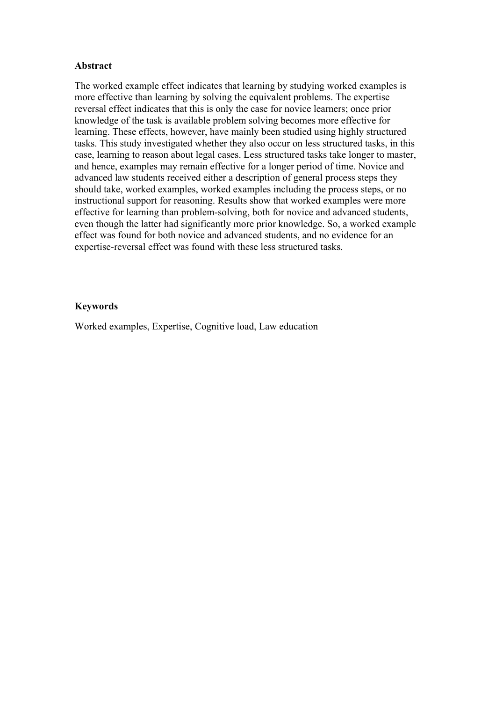# **Abstract**

The worked example effect indicates that learning by studying worked examples is more effective than learning by solving the equivalent problems. The expertise reversal effect indicates that this is only the case for novice learners; once prior knowledge of the task is available problem solving becomes more effective for learning. These effects, however, have mainly been studied using highly structured tasks. This study investigated whether they also occur on less structured tasks, in this case, learning to reason about legal cases. Less structured tasks take longer to master, and hence, examples may remain effective for a longer period of time. Novice and advanced law students received either a description of general process steps they should take, worked examples, worked examples including the process steps, or no instructional support for reasoning. Results show that worked examples were more effective for learning than problem-solving, both for novice and advanced students, even though the latter had significantly more prior knowledge. So, a worked example effect was found for both novice and advanced students, and no evidence for an expertise-reversal effect was found with these less structured tasks.

# **Keywords**

Worked examples, Expertise, Cognitive load, Law education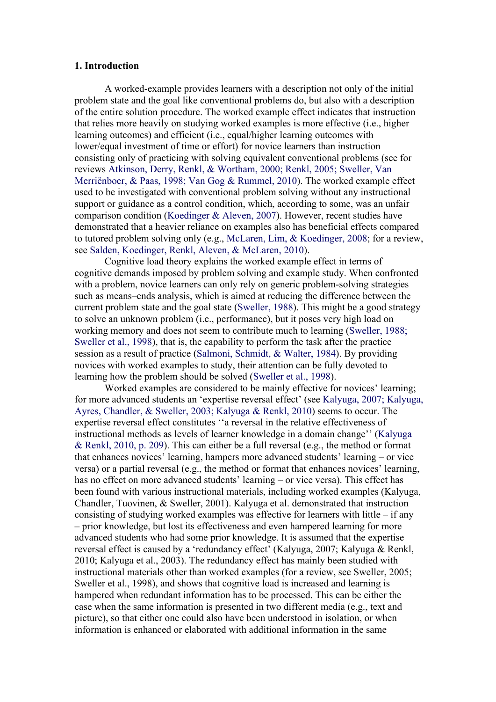## **1. Introduction**

A worked-example provides learners with a description not only of the initial problem state and the goal like conventional problems do, but also with a description of the entire solution procedure. The worked example effect indicates that instruction that relies more heavily on studying worked examples is more effective (i.e., higher learning outcomes) and efficient (i.e., equal/higher learning outcomes with lower/equal investment of time or effort) for novice learners than instruction consisting only of practicing with solving equivalent conventional problems (see for reviews Atkinson, Derry, Renkl, & Wortham, 2000; Renkl, 2005; Sweller, Van Merriënboer, & Paas, 1998; Van Gog & Rummel, 2010). The worked example effect used to be investigated with conventional problem solving without any instructional support or guidance as a control condition, which, according to some, was an unfair comparison condition (Koedinger & Aleven, 2007). However, recent studies have demonstrated that a heavier reliance on examples also has beneficial effects compared to tutored problem solving only (e.g., McLaren, Lim, & Koedinger, 2008; for a review, see Salden, Koedinger, Renkl, Aleven, & McLaren, 2010).

Cognitive load theory explains the worked example effect in terms of cognitive demands imposed by problem solving and example study. When confronted with a problem, novice learners can only rely on generic problem-solving strategies such as means–ends analysis, which is aimed at reducing the difference between the current problem state and the goal state (Sweller, 1988). This might be a good strategy to solve an unknown problem (i.e., performance), but it poses very high load on working memory and does not seem to contribute much to learning (Sweller, 1988; Sweller et al., 1998), that is, the capability to perform the task after the practice session as a result of practice (Salmoni, Schmidt, & Walter, 1984). By providing novices with worked examples to study, their attention can be fully devoted to learning how the problem should be solved (Sweller et al., 1998).

Worked examples are considered to be mainly effective for novices' learning; for more advanced students an 'expertise reversal effect' (see Kalyuga, 2007; Kalyuga, Ayres, Chandler, & Sweller, 2003; Kalyuga & Renkl, 2010) seems to occur. The expertise reversal effect constitutes ''a reversal in the relative effectiveness of instructional methods as levels of learner knowledge in a domain change'' (Kalyuga & Renkl, 2010, p. 209). This can either be a full reversal (e.g., the method or format that enhances novices' learning, hampers more advanced students' learning – or vice versa) or a partial reversal (e.g., the method or format that enhances novices' learning, has no effect on more advanced students' learning – or vice versa). This effect has been found with various instructional materials, including worked examples (Kalyuga, Chandler, Tuovinen, & Sweller, 2001). Kalyuga et al. demonstrated that instruction consisting of studying worked examples was effective for learners with little – if any – prior knowledge, but lost its effectiveness and even hampered learning for more advanced students who had some prior knowledge. It is assumed that the expertise reversal effect is caused by a 'redundancy effect' (Kalyuga, 2007; Kalyuga & Renkl, 2010; Kalyuga et al., 2003). The redundancy effect has mainly been studied with instructional materials other than worked examples (for a review, see Sweller, 2005; Sweller et al., 1998), and shows that cognitive load is increased and learning is hampered when redundant information has to be processed. This can be either the case when the same information is presented in two different media (e.g., text and picture), so that either one could also have been understood in isolation, or when information is enhanced or elaborated with additional information in the same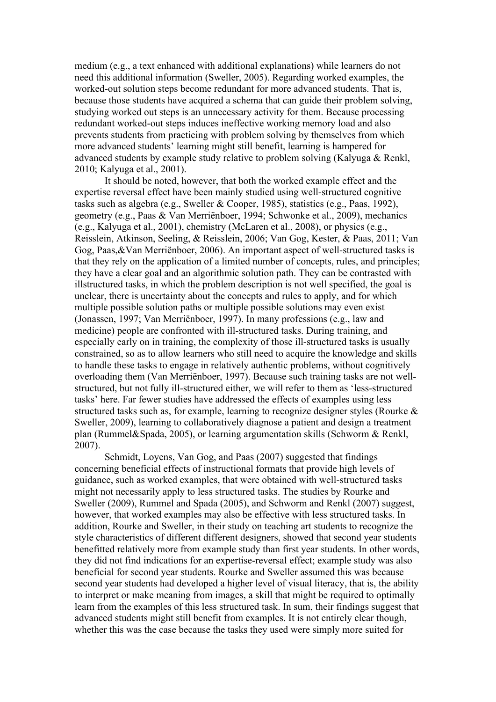medium (e.g., a text enhanced with additional explanations) while learners do not need this additional information (Sweller, 2005). Regarding worked examples, the worked-out solution steps become redundant for more advanced students. That is, because those students have acquired a schema that can guide their problem solving, studying worked out steps is an unnecessary activity for them. Because processing redundant worked-out steps induces ineffective working memory load and also prevents students from practicing with problem solving by themselves from which more advanced students' learning might still benefit, learning is hampered for advanced students by example study relative to problem solving (Kalyuga & Renkl, 2010; Kalyuga et al., 2001).

It should be noted, however, that both the worked example effect and the expertise reversal effect have been mainly studied using well-structured cognitive tasks such as algebra (e.g., Sweller & Cooper, 1985), statistics (e.g., Paas, 1992), geometry (e.g., Paas & Van Merriënboer, 1994; Schwonke et al., 2009), mechanics (e.g., Kalyuga et al., 2001), chemistry (McLaren et al., 2008), or physics (e.g., Reisslein, Atkinson, Seeling, & Reisslein, 2006; Van Gog, Kester, & Paas, 2011; Van Gog, Paas,&Van Merriënboer, 2006). An important aspect of well-structured tasks is that they rely on the application of a limited number of concepts, rules, and principles; they have a clear goal and an algorithmic solution path. They can be contrasted with illstructured tasks, in which the problem description is not well specified, the goal is unclear, there is uncertainty about the concepts and rules to apply, and for which multiple possible solution paths or multiple possible solutions may even exist (Jonassen, 1997; Van Merriënboer, 1997). In many professions (e.g., law and medicine) people are confronted with ill-structured tasks. During training, and especially early on in training, the complexity of those ill-structured tasks is usually constrained, so as to allow learners who still need to acquire the knowledge and skills to handle these tasks to engage in relatively authentic problems, without cognitively overloading them (Van Merriënboer, 1997). Because such training tasks are not wellstructured, but not fully ill-structured either, we will refer to them as 'less-structured tasks' here. Far fewer studies have addressed the effects of examples using less structured tasks such as, for example, learning to recognize designer styles (Rourke & Sweller, 2009), learning to collaboratively diagnose a patient and design a treatment plan (Rummel&Spada, 2005), or learning argumentation skills (Schworm & Renkl, 2007).

Schmidt, Loyens, Van Gog, and Paas (2007) suggested that findings concerning beneficial effects of instructional formats that provide high levels of guidance, such as worked examples, that were obtained with well-structured tasks might not necessarily apply to less structured tasks. The studies by Rourke and Sweller (2009), Rummel and Spada (2005), and Schworm and Renkl (2007) suggest, however, that worked examples may also be effective with less structured tasks. In addition, Rourke and Sweller, in their study on teaching art students to recognize the style characteristics of different different designers, showed that second year students benefitted relatively more from example study than first year students. In other words, they did not find indications for an expertise-reversal effect; example study was also beneficial for second year students. Rourke and Sweller assumed this was because second year students had developed a higher level of visual literacy, that is, the ability to interpret or make meaning from images, a skill that might be required to optimally learn from the examples of this less structured task. In sum, their findings suggest that advanced students might still benefit from examples. It is not entirely clear though, whether this was the case because the tasks they used were simply more suited for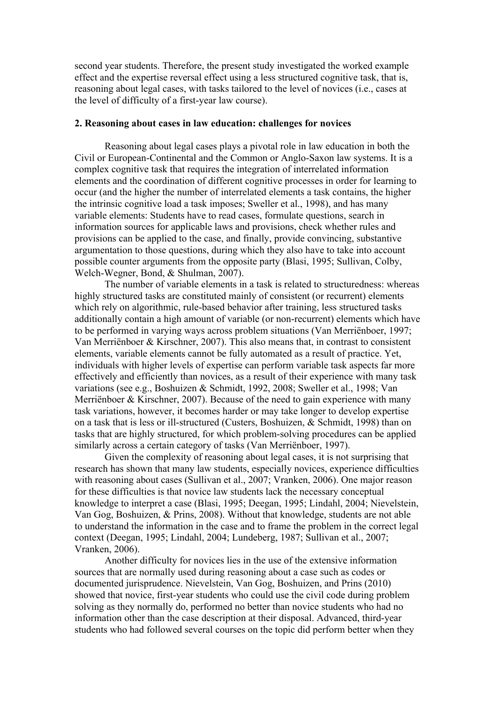second year students. Therefore, the present study investigated the worked example effect and the expertise reversal effect using a less structured cognitive task, that is, reasoning about legal cases, with tasks tailored to the level of novices (i.e., cases at the level of difficulty of a first-year law course).

# **2. Reasoning about cases in law education: challenges for novices**

Reasoning about legal cases plays a pivotal role in law education in both the Civil or European-Continental and the Common or Anglo-Saxon law systems. It is a complex cognitive task that requires the integration of interrelated information elements and the coordination of different cognitive processes in order for learning to occur (and the higher the number of interrelated elements a task contains, the higher the intrinsic cognitive load a task imposes; Sweller et al., 1998), and has many variable elements: Students have to read cases, formulate questions, search in information sources for applicable laws and provisions, check whether rules and provisions can be applied to the case, and finally, provide convincing, substantive argumentation to those questions, during which they also have to take into account possible counter arguments from the opposite party (Blasi, 1995; Sullivan, Colby, Welch-Wegner, Bond, & Shulman, 2007).

The number of variable elements in a task is related to structuredness: whereas highly structured tasks are constituted mainly of consistent (or recurrent) elements which rely on algorithmic, rule-based behavior after training, less structured tasks additionally contain a high amount of variable (or non-recurrent) elements which have to be performed in varying ways across problem situations (Van Merriënboer, 1997; Van Merriënboer & Kirschner, 2007). This also means that, in contrast to consistent elements, variable elements cannot be fully automated as a result of practice. Yet, individuals with higher levels of expertise can perform variable task aspects far more effectively and efficiently than novices, as a result of their experience with many task variations (see e.g., Boshuizen & Schmidt, 1992, 2008; Sweller et al., 1998; Van Merriënboer & Kirschner, 2007). Because of the need to gain experience with many task variations, however, it becomes harder or may take longer to develop expertise on a task that is less or ill-structured (Custers, Boshuizen, & Schmidt, 1998) than on tasks that are highly structured, for which problem-solving procedures can be applied similarly across a certain category of tasks (Van Merriënboer, 1997).

Given the complexity of reasoning about legal cases, it is not surprising that research has shown that many law students, especially novices, experience difficulties with reasoning about cases (Sullivan et al., 2007; Vranken, 2006). One major reason for these difficulties is that novice law students lack the necessary conceptual knowledge to interpret a case (Blasi, 1995; Deegan, 1995; Lindahl, 2004; Nievelstein, Van Gog, Boshuizen, & Prins, 2008). Without that knowledge, students are not able to understand the information in the case and to frame the problem in the correct legal context (Deegan, 1995; Lindahl, 2004; Lundeberg, 1987; Sullivan et al., 2007; Vranken, 2006).

Another difficulty for novices lies in the use of the extensive information sources that are normally used during reasoning about a case such as codes or documented jurisprudence. Nievelstein, Van Gog, Boshuizen, and Prins (2010) showed that novice, first-year students who could use the civil code during problem solving as they normally do, performed no better than novice students who had no information other than the case description at their disposal. Advanced, third-year students who had followed several courses on the topic did perform better when they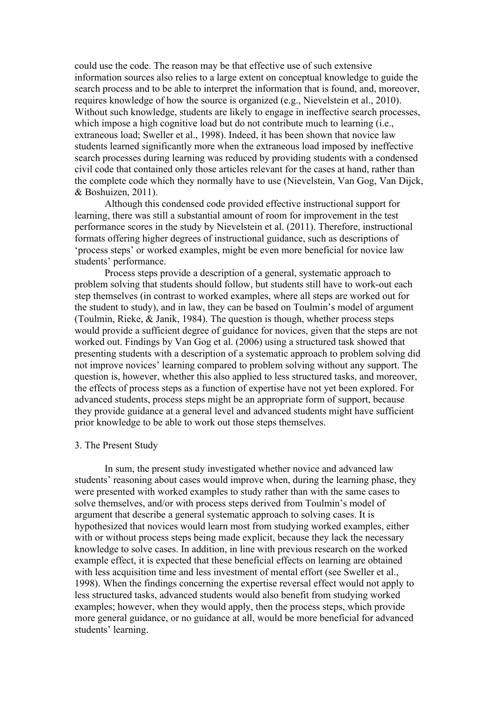could use the code. The reason may be that effective use of such extensive information sources also relies to a large extent on conceptual knowledge to guide the search process and to be able to interpret the information that is found, and, moreover, requires knowledge of how the source is organized (e.g., Nievelstein et al., 2010). Without such knowledge, students are likely to engage in ineffective search processes, which impose a high cognitive load but do not contribute much to learning (i.e., extraneous load; Sweller et al., 1998). Indeed, it has been shown that novice law students learned significantly more when the extraneous load imposed by ineffective search processes during learning was reduced by providing students with a condensed civil code that contained only those articles relevant for the cases at hand, rather than the complete code which they normally have to use (Nievelstein, Van Gog, Van Dijck, & Boshuizen, 2011).

Although this condensed code provided effective instructional support for learning, there was still a substantial amount of room for improvement in the test performance scores in the study by Nievelstein et al. (2011). Therefore, instructional formats offering higher degrees of instructional guidance, such as descriptions of 'process steps' or worked examples, might be even more beneficial for novice law students' performance.

Process steps provide a description of a general, systematic approach to problem solving that students should follow, but students still have to work-out each step themselves (in contrast to worked examples, where all steps are worked out for the student to study), and in law, they can be based on Toulmin's model of argument (Toulmin, Rieke, & Janik, 1984). The question is though, whether process steps would provide a sufficient degree of guidance for novices, given that the steps are not worked out. Findings by Van Gog et al. (2006) using a structured task showed that presenting students with a description of a systematic approach to problem solving did not improve novices' learning compared to problem solving without any support. The question is, however, whether this also applied to less structured tasks, and moreover, the effects of process steps as a function of expertise have not yet been explored. For advanced students, process steps might be an appropriate form of support, because they provide guidance at a general level and advanced students might have sufficient prior knowledge to be able to work out those steps themselves.

#### 3. The Present Study

In sum, the present study investigated whether novice and advanced law students' reasoning about cases would improve when, during the learning phase, they were presented with worked examples to study rather than with the same cases to solve themselves, and/or with process steps derived from Toulmin's model of argument that describe a general systematic approach to solving cases. It is hypothesized that novices would learn most from studying worked examples, either with or without process steps being made explicit, because they lack the necessary knowledge to solve cases. In addition, in line with previous research on the worked example effect, it is expected that these beneficial effects on learning are obtained with less acquisition time and less investment of mental effort (see Sweller et al., 1998). When the findings concerning the expertise reversal effect would not apply to less structured tasks, advanced students would also benefit from studying worked examples; however, when they would apply, then the process steps, which provide more general guidance, or no guidance at all, would be more beneficial for advanced students' learning.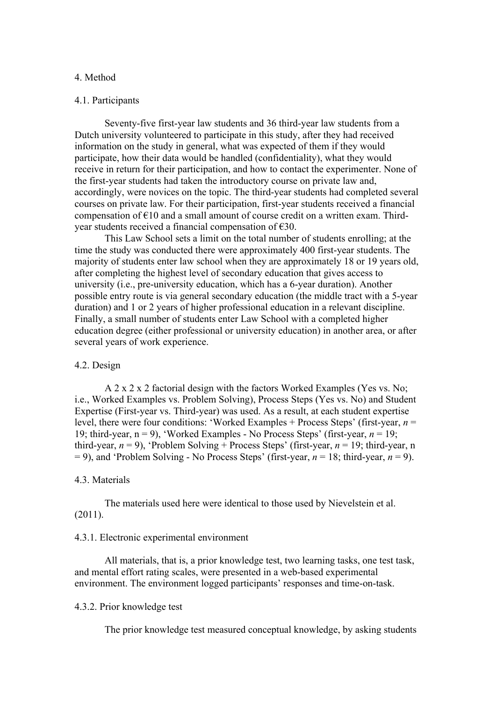#### 4. Method

## 4.1. Participants

Seventy-five first-year law students and 36 third-year law students from a Dutch university volunteered to participate in this study, after they had received information on the study in general, what was expected of them if they would participate, how their data would be handled (confidentiality), what they would receive in return for their participation, and how to contact the experimenter. None of the first-year students had taken the introductory course on private law and, accordingly, were novices on the topic. The third-year students had completed several courses on private law. For their participation, first-year students received a financial compensation of  $E10$  and a small amount of course credit on a written exam. Thirdyear students received a financial compensation of  $\epsilon$ 30.

This Law School sets a limit on the total number of students enrolling; at the time the study was conducted there were approximately 400 first-year students. The majority of students enter law school when they are approximately 18 or 19 years old, after completing the highest level of secondary education that gives access to university (i.e., pre-university education, which has a 6-year duration). Another possible entry route is via general secondary education (the middle tract with a 5-year duration) and 1 or 2 years of higher professional education in a relevant discipline. Finally, a small number of students enter Law School with a completed higher education degree (either professional or university education) in another area, or after several years of work experience.

## 4.2. Design

A 2 x 2 x 2 factorial design with the factors Worked Examples (Yes vs. No; i.e., Worked Examples vs. Problem Solving), Process Steps (Yes vs. No) and Student Expertise (First-year vs. Third-year) was used. As a result, at each student expertise level, there were four conditions: 'Worked Examples + Process Steps' (first-year, *n* = 19; third-year, n = 9), 'Worked Examples - No Process Steps' (first-year, *n* = 19; third-year,  $n = 9$ ), 'Problem Solving + Process Steps' (first-year,  $n = 19$ ; third-year, n  $= 9$ ), and 'Problem Solving - No Process Steps' (first-year,  $n = 18$ ; third-year,  $n = 9$ ).

### 4.3. Materials

The materials used here were identical to those used by Nievelstein et al. (2011).

## 4.3.1. Electronic experimental environment

All materials, that is, a prior knowledge test, two learning tasks, one test task, and mental effort rating scales, were presented in a web-based experimental environment. The environment logged participants' responses and time-on-task.

# 4.3.2. Prior knowledge test

The prior knowledge test measured conceptual knowledge, by asking students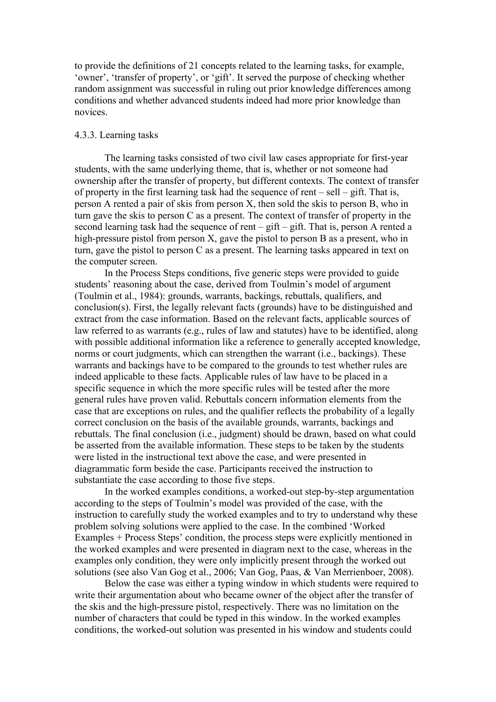to provide the definitions of 21 concepts related to the learning tasks, for example, 'owner', 'transfer of property', or 'gift'. It served the purpose of checking whether random assignment was successful in ruling out prior knowledge differences among conditions and whether advanced students indeed had more prior knowledge than novices.

### 4.3.3. Learning tasks

The learning tasks consisted of two civil law cases appropriate for first-year students, with the same underlying theme, that is, whether or not someone had ownership after the transfer of property, but different contexts. The context of transfer of property in the first learning task had the sequence of rent – sell – gift. That is, person A rented a pair of skis from person X, then sold the skis to person B, who in turn gave the skis to person C as a present. The context of transfer of property in the second learning task had the sequence of rent – gift – gift. That is, person A rented a high-pressure pistol from person X, gave the pistol to person B as a present, who in turn, gave the pistol to person C as a present. The learning tasks appeared in text on the computer screen.

In the Process Steps conditions, five generic steps were provided to guide students' reasoning about the case, derived from Toulmin's model of argument (Toulmin et al., 1984): grounds, warrants, backings, rebuttals, qualifiers, and conclusion(s). First, the legally relevant facts (grounds) have to be distinguished and extract from the case information. Based on the relevant facts, applicable sources of law referred to as warrants (e.g., rules of law and statutes) have to be identified, along with possible additional information like a reference to generally accepted knowledge, norms or court judgments, which can strengthen the warrant (i.e., backings). These warrants and backings have to be compared to the grounds to test whether rules are indeed applicable to these facts. Applicable rules of law have to be placed in a specific sequence in which the more specific rules will be tested after the more general rules have proven valid. Rebuttals concern information elements from the case that are exceptions on rules, and the qualifier reflects the probability of a legally correct conclusion on the basis of the available grounds, warrants, backings and rebuttals. The final conclusion (i.e., judgment) should be drawn, based on what could be asserted from the available information. These steps to be taken by the students were listed in the instructional text above the case, and were presented in diagrammatic form beside the case. Participants received the instruction to substantiate the case according to those five steps.

In the worked examples conditions, a worked-out step-by-step argumentation according to the steps of Toulmin's model was provided of the case, with the instruction to carefully study the worked examples and to try to understand why these problem solving solutions were applied to the case. In the combined 'Worked Examples + Process Steps' condition, the process steps were explicitly mentioned in the worked examples and were presented in diagram next to the case, whereas in the examples only condition, they were only implicitly present through the worked out solutions (see also Van Gog et al., 2006; Van Gog, Paas, & Van Merrienboer, 2008).

Below the case was either a typing window in which students were required to write their argumentation about who became owner of the object after the transfer of the skis and the high-pressure pistol, respectively. There was no limitation on the number of characters that could be typed in this window. In the worked examples conditions, the worked-out solution was presented in his window and students could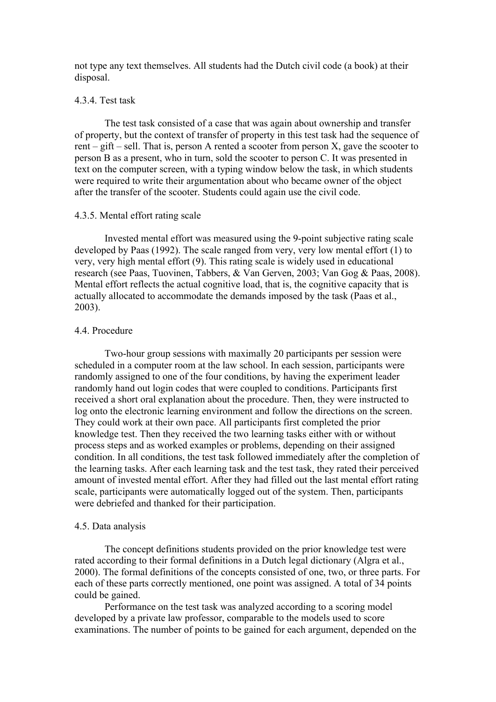not type any text themselves. All students had the Dutch civil code (a book) at their disposal.

### 4.3.4. Test task

The test task consisted of a case that was again about ownership and transfer of property, but the context of transfer of property in this test task had the sequence of rent – gift – sell. That is, person A rented a scooter from person  $X$ , gave the scooter to person B as a present, who in turn, sold the scooter to person C. It was presented in text on the computer screen, with a typing window below the task, in which students were required to write their argumentation about who became owner of the object after the transfer of the scooter. Students could again use the civil code.

#### 4.3.5. Mental effort rating scale

Invested mental effort was measured using the 9-point subjective rating scale developed by Paas (1992). The scale ranged from very, very low mental effort (1) to very, very high mental effort (9). This rating scale is widely used in educational research (see Paas, Tuovinen, Tabbers, & Van Gerven, 2003; Van Gog & Paas, 2008). Mental effort reflects the actual cognitive load, that is, the cognitive capacity that is actually allocated to accommodate the demands imposed by the task (Paas et al., 2003).

#### 4.4. Procedure

Two-hour group sessions with maximally 20 participants per session were scheduled in a computer room at the law school. In each session, participants were randomly assigned to one of the four conditions, by having the experiment leader randomly hand out login codes that were coupled to conditions. Participants first received a short oral explanation about the procedure. Then, they were instructed to log onto the electronic learning environment and follow the directions on the screen. They could work at their own pace. All participants first completed the prior knowledge test. Then they received the two learning tasks either with or without process steps and as worked examples or problems, depending on their assigned condition. In all conditions, the test task followed immediately after the completion of the learning tasks. After each learning task and the test task, they rated their perceived amount of invested mental effort. After they had filled out the last mental effort rating scale, participants were automatically logged out of the system. Then, participants were debriefed and thanked for their participation.

#### 4.5. Data analysis

The concept definitions students provided on the prior knowledge test were rated according to their formal definitions in a Dutch legal dictionary (Algra et al., 2000). The formal definitions of the concepts consisted of one, two, or three parts. For each of these parts correctly mentioned, one point was assigned. A total of 34 points could be gained.

Performance on the test task was analyzed according to a scoring model developed by a private law professor, comparable to the models used to score examinations. The number of points to be gained for each argument, depended on the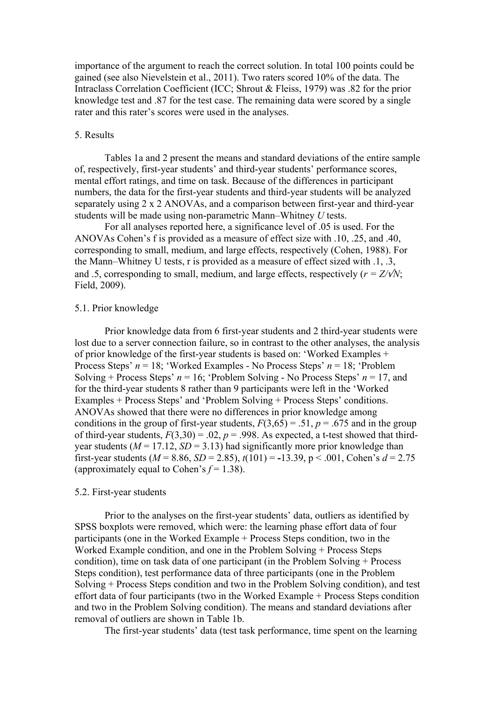importance of the argument to reach the correct solution. In total 100 points could be gained (see also Nievelstein et al., 2011). Two raters scored 10% of the data. The Intraclass Correlation Coefficient (ICC; Shrout & Fleiss, 1979) was .82 for the prior knowledge test and .87 for the test case. The remaining data were scored by a single rater and this rater's scores were used in the analyses.

# 5. Results

Tables 1a and 2 present the means and standard deviations of the entire sample of, respectively, first-year students' and third-year students' performance scores, mental effort ratings, and time on task. Because of the differences in participant numbers, the data for the first-year students and third-year students will be analyzed separately using 2 x 2 ANOVAs, and a comparison between first-year and third-year students will be made using non-parametric Mann–Whitney *U* tests.

For all analyses reported here, a significance level of .05 is used. For the ANOVAs Cohen's f is provided as a measure of effect size with .10, .25, and .40, corresponding to small, medium, and large effects, respectively (Cohen, 1988). For the Mann–Whitney U tests, r is provided as a measure of effect sized with .1, .3, and .5, corresponding to small, medium, and large effects, respectively  $(r = Z/\sqrt{N})$ ; Field, 2009).

## 5.1. Prior knowledge

Prior knowledge data from 6 first-year students and 2 third-year students were lost due to a server connection failure, so in contrast to the other analyses, the analysis of prior knowledge of the first-year students is based on: 'Worked Examples + Process Steps' *n* = 18; 'Worked Examples - No Process Steps' *n* = 18; 'Problem Solving + Process Steps'  $n = 16$ ; 'Problem Solving - No Process Steps'  $n = 17$ , and for the third-year students 8 rather than 9 participants were left in the 'Worked Examples + Process Steps' and 'Problem Solving + Process Steps' conditions. ANOVAs showed that there were no differences in prior knowledge among conditions in the group of first-year students,  $F(3,65) = .51$ ,  $p = .675$  and in the group of third-year students,  $F(3,30) = .02$ ,  $p = .998$ . As expected, a t-test showed that thirdyear students  $(M = 17.12, SD = 3.13)$  had significantly more prior knowledge than first-year students ( $M = 8.86$ ,  $SD = 2.85$ ),  $t(101) = -13.39$ ,  $p < .001$ , Cohen's  $d = 2.75$ (approximately equal to Cohen's  $f = 1.38$ ).

#### 5.2. First-year students

Prior to the analyses on the first-year students' data, outliers as identified by SPSS boxplots were removed, which were: the learning phase effort data of four participants (one in the Worked Example + Process Steps condition, two in the Worked Example condition, and one in the Problem Solving + Process Steps condition), time on task data of one participant (in the Problem Solving  $+$  Process Steps condition), test performance data of three participants (one in the Problem Solving + Process Steps condition and two in the Problem Solving condition), and test effort data of four participants (two in the Worked Example + Process Steps condition and two in the Problem Solving condition). The means and standard deviations after removal of outliers are shown in Table 1b.

The first-year students' data (test task performance, time spent on the learning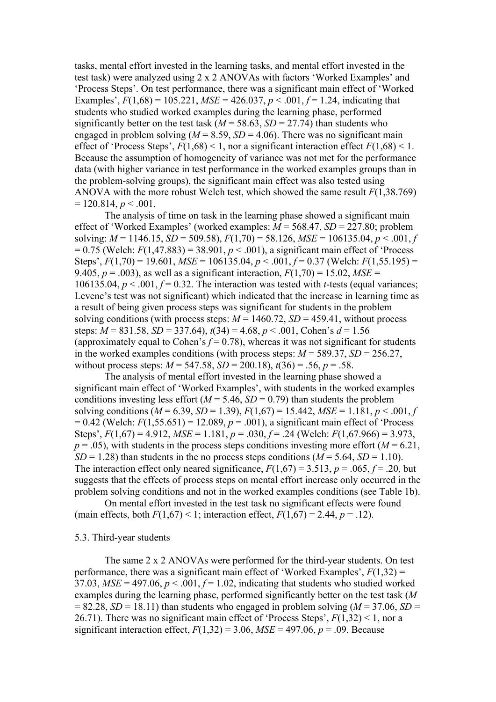tasks, mental effort invested in the learning tasks, and mental effort invested in the test task) were analyzed using 2 x 2 ANOVAs with factors 'Worked Examples' and 'Process Steps'. On test performance, there was a significant main effect of 'Worked Examples',  $F(1,68) = 105.221$ ,  $MSE = 426.037$ ,  $p < .001$ ,  $f = 1.24$ , indicating that students who studied worked examples during the learning phase, performed significantly better on the test task ( $M = 58.63$ ,  $SD = 27.74$ ) than students who engaged in problem solving ( $M = 8.59$ ,  $SD = 4.06$ ). There was no significant main effect of 'Process Steps',  $F(1,68) < 1$ , nor a significant interaction effect  $F(1,68) < 1$ . Because the assumption of homogeneity of variance was not met for the performance data (with higher variance in test performance in the worked examples groups than in the problem-solving groups), the significant main effect was also tested using ANOVA with the more robust Welch test, which showed the same result *F*(1,38.769)  $= 120.814, p < .001.$ 

The analysis of time on task in the learning phase showed a significant main effect of 'Worked Examples' (worked examples: *M* = 568.47, *SD* = 227.80; problem solving: *M* = 1146.15, *SD* = 509.58), *F*(1,70) = 58.126, *MSE* = 106135.04, *p* < .001, *f*   $= 0.75$  (Welch: *F*(1,47.883) = 38.901, *p* < .001), a significant main effect of 'Process Steps',  $F(1,70) = 19.601$ ,  $MSE = 106135.04$ ,  $p < .001$ ,  $f = 0.37$  (Welch:  $F(1.55.195) =$ 9.405,  $p = .003$ ), as well as a significant interaction,  $F(1,70) = 15.02$ ,  $MSE =$ 106135.04,  $p < .001$ ,  $f = 0.32$ . The interaction was tested with *t*-tests (equal variances; Levene's test was not significant) which indicated that the increase in learning time as a result of being given process steps was significant for students in the problem solving conditions (with process steps:  $M = 1460.72$ ,  $SD = 459.41$ , without process steps:  $M = 831.58$ ,  $SD = 337.64$ ),  $t(34) = 4.68$ ,  $p < .001$ , Cohen's  $d = 1.56$ (approximately equal to Cohen's  $f = 0.78$ ), whereas it was not significant for students in the worked examples conditions (with process steps:  $M = 589.37$ ,  $SD = 256.27$ , without process steps:  $M = 547.58$ ,  $SD = 200.18$ ),  $t(36) = .56$ ,  $p = .58$ .

The analysis of mental effort invested in the learning phase showed a significant main effect of 'Worked Examples', with students in the worked examples conditions investing less effort ( $M = 5.46$ ,  $SD = 0.79$ ) than students the problem solving conditions ( $M = 6.39$ ,  $SD = 1.39$ ),  $F(1.67) = 15.442$ ,  $MSE = 1.181$ ,  $p < .001$ ,  $f($  $= 0.42$  (Welch:  $F(1,55.651) = 12.089$ ,  $p = .001$ ), a significant main effect of 'Process Steps',  $F(1,67) = 4.912$ ,  $MSE = 1.181$ ,  $p = .030$ ,  $f = .24$  (Welch:  $F(1,67.966) = 3.973$ ,  $p = .05$ ), with students in the process steps conditions investing more effort ( $M = 6.21$ ,  $SD = 1.28$ ) than students in the no process steps conditions ( $M = 5.64$ ,  $SD = 1.10$ ). The interaction effect only neared significance,  $F(1,67) = 3.513$ ,  $p = .065$ ,  $f = .20$ , but suggests that the effects of process steps on mental effort increase only occurred in the problem solving conditions and not in the worked examples conditions (see Table 1b).

On mental effort invested in the test task no significant effects were found (main effects, both  $F(1,67) < 1$ ; interaction effect,  $F(1,67) = 2.44$ ,  $p = .12$ ).

#### 5.3. Third-year students

The same 2 x 2 ANOVAs were performed for the third-year students. On test performance, there was a significant main effect of 'Worked Examples', *F*(1,32) = 37.03,  $MSE = 497.06$ ,  $p < .001$ ,  $f = 1.02$ , indicating that students who studied worked examples during the learning phase, performed significantly better on the test task (*M*  $= 82.28$ , *SD* = 18.11) than students who engaged in problem solving (*M* = 37.06, *SD* = 26.71). There was no significant main effect of 'Process Steps', *F*(1,32) < 1, nor a significant interaction effect,  $F(1,32) = 3.06$ ,  $MSE = 497.06$ ,  $p = .09$ . Because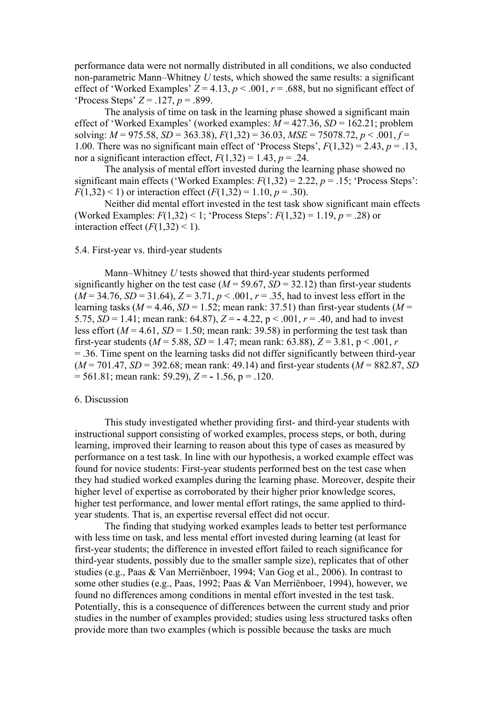performance data were not normally distributed in all conditions, we also conducted non-parametric Mann–Whitney *U* tests, which showed the same results: a significant effect of 'Worked Examples'  $Z = 4.13$ ,  $p < .001$ ,  $r = .688$ , but no significant effect of 'Process Steps' *Z* = .127, *p* = .899.

The analysis of time on task in the learning phase showed a significant main effect of 'Worked Examples' (worked examples: *M* = 427.36, *SD* = 162.21; problem solving:  $M = 975.58$ ,  $SD = 363.38$ ),  $F(1.32) = 36.03$ ,  $MSE = 75078.72$ ,  $p < .001$ ,  $f =$ 1.00. There was no significant main effect of 'Process Steps',  $F(1,32) = 2.43$ ,  $p = .13$ , nor a significant interaction effect,  $F(1,32) = 1.43$ ,  $p = .24$ .

The analysis of mental effort invested during the learning phase showed no significant main effects ('Worked Examples:  $F(1,32) = 2.22$ ,  $p = .15$ ; 'Process Steps':  $F(1,32)$  < 1) or interaction effect  $(F(1,32) = 1.10, p = .30)$ .

Neither did mental effort invested in the test task show significant main effects (Worked Examples: *F*(1,32) < 1; 'Process Steps': *F*(1,32) = 1.19, *p* = .28) or interaction effect  $(F(1,32) \le 1)$ .

#### 5.4. First-year vs. third-year students

Mann–Whitney *U* tests showed that third-year students performed significantly higher on the test case  $(M = 59.67, SD = 32.12)$  than first-year students  $(M = 34.76, SD = 31.64), Z = 3.71, p < .001, r = .35, had to invest less effort in the$ learning tasks ( $M = 4.46$ ,  $SD = 1.52$ ; mean rank: 37.51) than first-year students ( $M =$ 5.75,  $SD = 1.41$ ; mean rank: 64.87),  $Z = -4.22$ ,  $p < .001$ ,  $r = .40$ , and had to invest less effort  $(M = 4.61, SD = 1.50$ ; mean rank: 39.58) in performing the test task than first-year students ( $M = 5.88$ ,  $SD = 1.47$ ; mean rank: 63.88),  $Z = 3.81$ ,  $p < .001$ , *r* = .36. Time spent on the learning tasks did not differ significantly between third-year (*M* = 701.47, *SD* = 392.68; mean rank: 49.14) and first-year students (*M* = 882.87, *SD* = 561.81; mean rank: 59.29), *Z* = **-** 1.56, p = .120.

# 6. Discussion

This study investigated whether providing first- and third-year students with instructional support consisting of worked examples, process steps, or both, during learning, improved their learning to reason about this type of cases as measured by performance on a test task. In line with our hypothesis, a worked example effect was found for novice students: First-year students performed best on the test case when they had studied worked examples during the learning phase. Moreover, despite their higher level of expertise as corroborated by their higher prior knowledge scores, higher test performance, and lower mental effort ratings, the same applied to thirdyear students. That is, an expertise reversal effect did not occur.

The finding that studying worked examples leads to better test performance with less time on task, and less mental effort invested during learning (at least for first-year students; the difference in invested effort failed to reach significance for third-year students, possibly due to the smaller sample size), replicates that of other studies (e.g., Paas & Van Merriënboer, 1994; Van Gog et al., 2006). In contrast to some other studies (e.g., Paas, 1992; Paas & Van Merriënboer, 1994), however, we found no differences among conditions in mental effort invested in the test task. Potentially, this is a consequence of differences between the current study and prior studies in the number of examples provided; studies using less structured tasks often provide more than two examples (which is possible because the tasks are much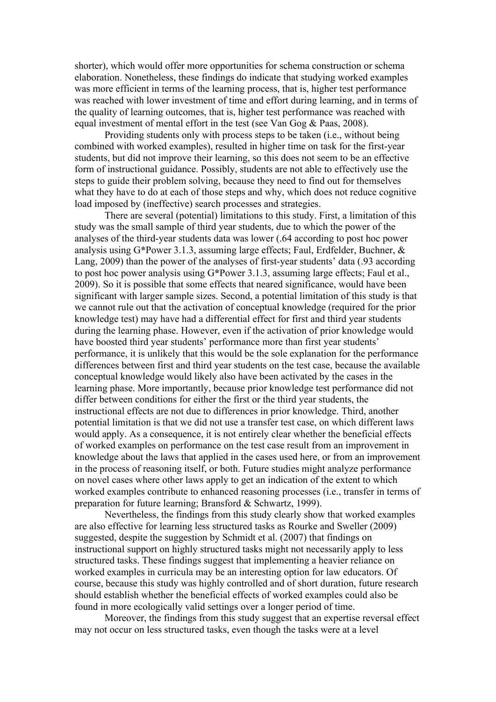shorter), which would offer more opportunities for schema construction or schema elaboration. Nonetheless, these findings do indicate that studying worked examples was more efficient in terms of the learning process, that is, higher test performance was reached with lower investment of time and effort during learning, and in terms of the quality of learning outcomes, that is, higher test performance was reached with equal investment of mental effort in the test (see Van Gog & Paas, 2008).

Providing students only with process steps to be taken (i.e., without being combined with worked examples), resulted in higher time on task for the first-year students, but did not improve their learning, so this does not seem to be an effective form of instructional guidance. Possibly, students are not able to effectively use the steps to guide their problem solving, because they need to find out for themselves what they have to do at each of those steps and why, which does not reduce cognitive load imposed by (ineffective) search processes and strategies.

There are several (potential) limitations to this study. First, a limitation of this study was the small sample of third year students, due to which the power of the analyses of the third-year students data was lower (.64 according to post hoc power analysis using G**\***Power 3.1.3, assuming large effects; Faul, Erdfelder, Buchner, & Lang, 2009) than the power of the analyses of first-year students' data (.93 according to post hoc power analysis using G**\***Power 3.1.3, assuming large effects; Faul et al., 2009). So it is possible that some effects that neared significance, would have been significant with larger sample sizes. Second, a potential limitation of this study is that we cannot rule out that the activation of conceptual knowledge (required for the prior knowledge test) may have had a differential effect for first and third year students during the learning phase. However, even if the activation of prior knowledge would have boosted third year students' performance more than first year students' performance, it is unlikely that this would be the sole explanation for the performance differences between first and third year students on the test case, because the available conceptual knowledge would likely also have been activated by the cases in the learning phase. More importantly, because prior knowledge test performance did not differ between conditions for either the first or the third year students, the instructional effects are not due to differences in prior knowledge. Third, another potential limitation is that we did not use a transfer test case, on which different laws would apply. As a consequence, it is not entirely clear whether the beneficial effects of worked examples on performance on the test case result from an improvement in knowledge about the laws that applied in the cases used here, or from an improvement in the process of reasoning itself, or both. Future studies might analyze performance on novel cases where other laws apply to get an indication of the extent to which worked examples contribute to enhanced reasoning processes (i.e., transfer in terms of preparation for future learning; Bransford & Schwartz, 1999).

Nevertheless, the findings from this study clearly show that worked examples are also effective for learning less structured tasks as Rourke and Sweller (2009) suggested, despite the suggestion by Schmidt et al. (2007) that findings on instructional support on highly structured tasks might not necessarily apply to less structured tasks. These findings suggest that implementing a heavier reliance on worked examples in curricula may be an interesting option for law educators. Of course, because this study was highly controlled and of short duration, future research should establish whether the beneficial effects of worked examples could also be found in more ecologically valid settings over a longer period of time.

Moreover, the findings from this study suggest that an expertise reversal effect may not occur on less structured tasks, even though the tasks were at a level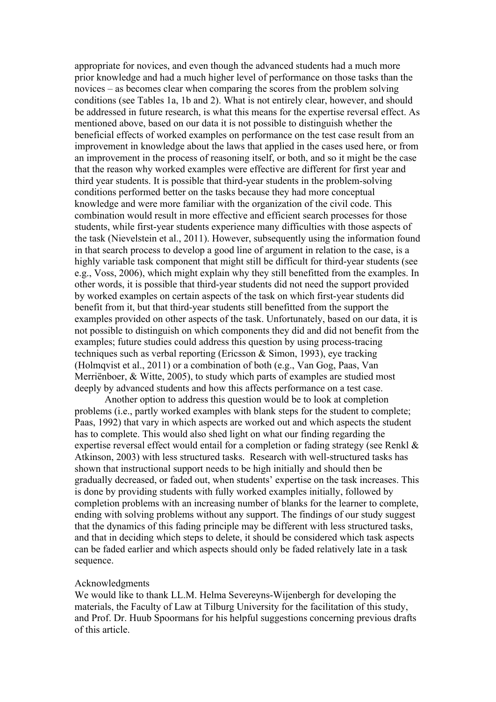appropriate for novices, and even though the advanced students had a much more prior knowledge and had a much higher level of performance on those tasks than the novices – as becomes clear when comparing the scores from the problem solving conditions (see Tables 1a, 1b and 2). What is not entirely clear, however, and should be addressed in future research, is what this means for the expertise reversal effect. As mentioned above, based on our data it is not possible to distinguish whether the beneficial effects of worked examples on performance on the test case result from an improvement in knowledge about the laws that applied in the cases used here, or from an improvement in the process of reasoning itself, or both, and so it might be the case that the reason why worked examples were effective are different for first year and third year students. It is possible that third-year students in the problem-solving conditions performed better on the tasks because they had more conceptual knowledge and were more familiar with the organization of the civil code. This combination would result in more effective and efficient search processes for those students, while first-year students experience many difficulties with those aspects of the task (Nievelstein et al., 2011). However, subsequently using the information found in that search process to develop a good line of argument in relation to the case, is a highly variable task component that might still be difficult for third-year students (see e.g., Voss, 2006), which might explain why they still benefitted from the examples. In other words, it is possible that third-year students did not need the support provided by worked examples on certain aspects of the task on which first-year students did benefit from it, but that third-year students still benefitted from the support the examples provided on other aspects of the task. Unfortunately, based on our data, it is not possible to distinguish on which components they did and did not benefit from the examples; future studies could address this question by using process-tracing techniques such as verbal reporting (Ericsson & Simon, 1993), eye tracking (Holmqvist et al., 2011) or a combination of both (e.g., Van Gog, Paas, Van Merriënboer, & Witte, 2005), to study which parts of examples are studied most deeply by advanced students and how this affects performance on a test case.

Another option to address this question would be to look at completion problems (i.e., partly worked examples with blank steps for the student to complete; Paas, 1992) that vary in which aspects are worked out and which aspects the student has to complete. This would also shed light on what our finding regarding the expertise reversal effect would entail for a completion or fading strategy (see Renkl & Atkinson, 2003) with less structured tasks. Research with well-structured tasks has shown that instructional support needs to be high initially and should then be gradually decreased, or faded out, when students' expertise on the task increases. This is done by providing students with fully worked examples initially, followed by completion problems with an increasing number of blanks for the learner to complete, ending with solving problems without any support. The findings of our study suggest that the dynamics of this fading principle may be different with less structured tasks, and that in deciding which steps to delete, it should be considered which task aspects can be faded earlier and which aspects should only be faded relatively late in a task sequence.

#### Acknowledgments

We would like to thank LL.M. Helma Severeyns-Wijenbergh for developing the materials, the Faculty of Law at Tilburg University for the facilitation of this study, and Prof. Dr. Huub Spoormans for his helpful suggestions concerning previous drafts of this article.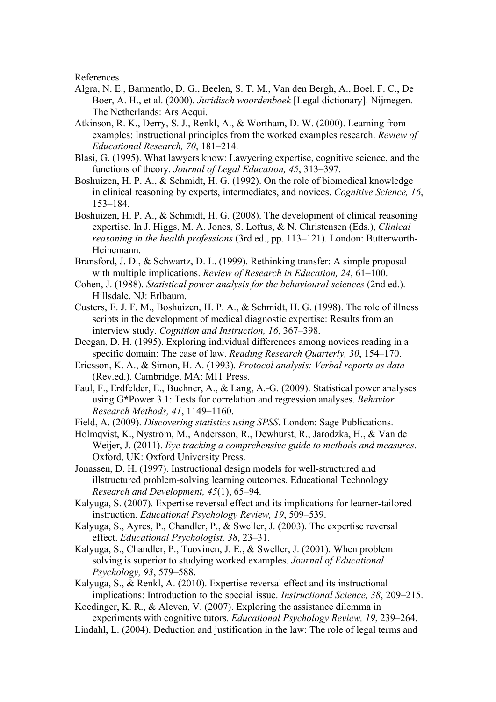References

- Algra, N. E., Barmentlo, D. G., Beelen, S. T. M., Van den Bergh, A., Boel, F. C., De Boer, A. H., et al. (2000). *Juridisch woordenboek* [Legal dictionary]. Nijmegen. The Netherlands: Ars Aequi.
- Atkinson, R. K., Derry, S. J., Renkl, A., & Wortham, D. W. (2000). Learning from examples: Instructional principles from the worked examples research. *Review of Educational Research, 70*, 181–214.
- Blasi, G. (1995). What lawyers know: Lawyering expertise, cognitive science, and the functions of theory. *Journal of Legal Education, 45*, 313–397.
- Boshuizen, H. P. A., & Schmidt, H. G. (1992). On the role of biomedical knowledge in clinical reasoning by experts, intermediates, and novices. *Cognitive Science, 16*, 153–184.
- Boshuizen, H. P. A., & Schmidt, H. G. (2008). The development of clinical reasoning expertise. In J. Higgs, M. A. Jones, S. Loftus, & N. Christensen (Eds.), *Clinical reasoning in the health professions* (3rd ed., pp. 113–121). London: Butterworth-Heinemann.
- Bransford, J. D., & Schwartz, D. L. (1999). Rethinking transfer: A simple proposal with multiple implications. *Review of Research in Education, 24*, 61–100.
- Cohen, J. (1988). *Statistical power analysis for the behavioural sciences* (2nd ed.). Hillsdale, NJ: Erlbaum.
- Custers, E. J. F. M., Boshuizen, H. P. A., & Schmidt, H. G. (1998). The role of illness scripts in the development of medical diagnostic expertise: Results from an interview study. *Cognition and Instruction, 16*, 367–398.
- Deegan, D. H. (1995). Exploring individual differences among novices reading in a specific domain: The case of law. *Reading Research Quarterly, 30*, 154–170.
- Ericsson, K. A., & Simon, H. A. (1993). *Protocol analysis: Verbal reports as data*  (Rev.ed.). Cambridge, MA: MIT Press.
- Faul, F., Erdfelder, E., Buchner, A., & Lang, A.-G. (2009). Statistical power analyses using G**\***Power 3.1: Tests for correlation and regression analyses. *Behavior Research Methods, 41*, 1149–1160.
- Field, A. (2009). *Discovering statistics using SPSS*. London: Sage Publications.
- Holmqvist, K., Nyström, M., Andersson, R., Dewhurst, R., Jarodzka, H., & Van de Weijer, J. (2011). *Eye tracking a comprehensive guide to methods and measures*. Oxford, UK: Oxford University Press.
- Jonassen, D. H. (1997). Instructional design models for well-structured and illstructured problem-solving learning outcomes. Educational Technology *Research and Development, 45*(1), 65–94.
- Kalyuga, S. (2007). Expertise reversal effect and its implications for learner-tailored instruction. *Educational Psychology Review, 19*, 509–539.
- Kalyuga, S., Ayres, P., Chandler, P., & Sweller, J. (2003). The expertise reversal effect. *Educational Psychologist, 38*, 23–31.
- Kalyuga, S., Chandler, P., Tuovinen, J. E., & Sweller, J. (2001). When problem solving is superior to studying worked examples. *Journal of Educational Psychology, 93*, 579–588.
- Kalyuga, S., & Renkl, A. (2010). Expertise reversal effect and its instructional implications: Introduction to the special issue. *Instructional Science, 38*, 209–215.
- Koedinger, K. R., & Aleven, V. (2007). Exploring the assistance dilemma in experiments with cognitive tutors. *Educational Psychology Review, 19*, 239–264.
- Lindahl, L. (2004). Deduction and justification in the law: The role of legal terms and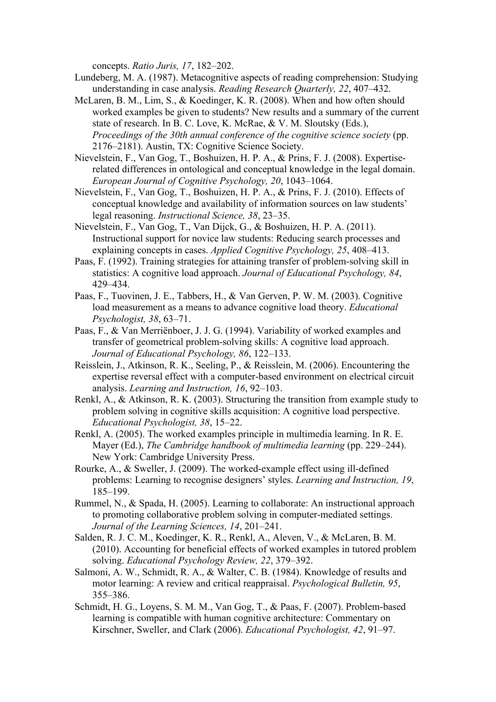concepts. *Ratio Juris, 17*, 182–202.

- Lundeberg, M. A. (1987). Metacognitive aspects of reading comprehension: Studying understanding in case analysis. *Reading Research Quarterly, 22*, 407–432.
- McLaren, B. M., Lim, S., & Koedinger, K. R. (2008). When and how often should worked examples be given to students? New results and a summary of the current state of research. In B. C. Love, K. McRae, & V. M. Sloutsky (Eds.), *Proceedings of the 30th annual conference of the cognitive science society* (pp. 2176–2181). Austin, TX: Cognitive Science Society.
- Nievelstein, F., Van Gog, T., Boshuizen, H. P. A., & Prins, F. J. (2008). Expertiserelated differences in ontological and conceptual knowledge in the legal domain. *European Journal of Cognitive Psychology, 20*, 1043–1064.
- Nievelstein, F., Van Gog, T., Boshuizen, H. P. A., & Prins, F. J. (2010). Effects of conceptual knowledge and availability of information sources on law students' legal reasoning. *Instructional Science, 38*, 23–35.
- Nievelstein, F., Van Gog, T., Van Dijck, G., & Boshuizen, H. P. A. (2011). Instructional support for novice law students: Reducing search processes and explaining concepts in cases. *Applied Cognitive Psychology, 25*, 408–413.
- Paas, F. (1992). Training strategies for attaining transfer of problem-solving skill in statistics: A cognitive load approach. *Journal of Educational Psychology, 84*, 429–434.
- Paas, F., Tuovinen, J. E., Tabbers, H., & Van Gerven, P. W. M. (2003). Cognitive load measurement as a means to advance cognitive load theory. *Educational Psychologist, 38*, 63–71.
- Paas, F., & Van Merriënboer, J. J. G. (1994). Variability of worked examples and transfer of geometrical problem-solving skills: A cognitive load approach. *Journal of Educational Psychology, 86*, 122–133.
- Reisslein, J., Atkinson, R. K., Seeling, P., & Reisslein, M. (2006). Encountering the expertise reversal effect with a computer-based environment on electrical circuit analysis. *Learning and Instruction, 16*, 92–103.
- Renkl, A., & Atkinson, R. K. (2003). Structuring the transition from example study to problem solving in cognitive skills acquisition: A cognitive load perspective. *Educational Psychologist, 38*, 15–22.
- Renkl, A. (2005). The worked examples principle in multimedia learning. In R. E. Mayer (Ed.), *The Cambridge handbook of multimedia learning* (pp. 229–244). New York: Cambridge University Press.
- Rourke, A., & Sweller, J. (2009). The worked-example effect using ill-defined problems: Learning to recognise designers' styles. *Learning and Instruction, 19*, 185–199.
- Rummel, N., & Spada, H. (2005). Learning to collaborate: An instructional approach to promoting collaborative problem solving in computer-mediated settings. *Journal of the Learning Sciences, 14*, 201–241.
- Salden, R. J. C. M., Koedinger, K. R., Renkl, A., Aleven, V., & McLaren, B. M. (2010). Accounting for beneficial effects of worked examples in tutored problem solving. *Educational Psychology Review, 22*, 379–392.
- Salmoni, A. W., Schmidt, R. A., & Walter, C. B. (1984). Knowledge of results and motor learning: A review and critical reappraisal. *Psychological Bulletin, 95*, 355–386.
- Schmidt, H. G., Loyens, S. M. M., Van Gog, T., & Paas, F. (2007). Problem-based learning is compatible with human cognitive architecture: Commentary on Kirschner, Sweller, and Clark (2006). *Educational Psychologist, 42*, 91–97.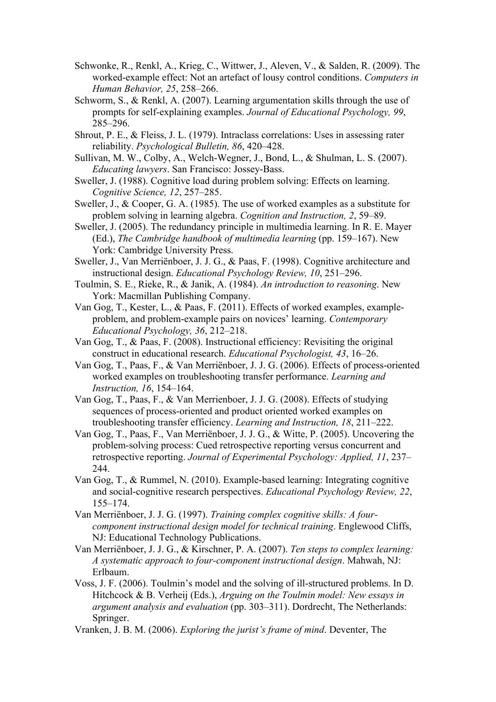- Schwonke, R., Renkl, A., Krieg, C., Wittwer, J., Aleven, V., & Salden, R. (2009). The worked-example effect: Not an artefact of lousy control conditions. *Computers in Human Behavior, 25*, 258–266.
- Schworm, S., & Renkl, A. (2007). Learning argumentation skills through the use of prompts for self-explaining examples. *Journal of Educational Psychology, 99*, 285–296.
- Shrout, P. E., & Fleiss, J. L. (1979). Intraclass correlations: Uses in assessing rater reliability. *Psychological Bulletin, 86*, 420–428.
- Sullivan, M. W., Colby, A., Welch-Wegner, J., Bond, L., & Shulman, L. S. (2007). *Educating lawyers*. San Francisco: Jossey-Bass.
- Sweller, J. (1988). Cognitive load during problem solving: Effects on learning. *Cognitive Science, 12*, 257–285.
- Sweller, J., & Cooper, G. A. (1985). The use of worked examples as a substitute for problem solving in learning algebra. *Cognition and Instruction, 2*, 59–89.
- Sweller, J. (2005). The redundancy principle in multimedia learning. In R. E. Mayer (Ed.), *The Cambridge handbook of multimedia learning* (pp. 159–167). New York: Cambridge University Press.
- Sweller, J., Van Merriënboer, J. J. G., & Paas, F. (1998). Cognitive architecture and instructional design. *Educational Psychology Review, 10*, 251–296.
- Toulmin, S. E., Rieke, R., & Janik, A. (1984). *An introduction to reasoning*. New York: Macmillan Publishing Company.
- Van Gog, T., Kester, L., & Paas, F. (2011). Effects of worked examples, exampleproblem, and problem-example pairs on novices' learning. *Contemporary Educational Psychology, 36*, 212–218.
- Van Gog, T., & Paas, F. (2008). Instructional efficiency: Revisiting the original construct in educational research. *Educational Psychologist, 43*, 16–26.
- Van Gog, T., Paas, F., & Van Merriënboer, J. J. G. (2006). Effects of process-oriented worked examples on troubleshooting transfer performance. *Learning and Instruction, 16*, 154–164.
- Van Gog, T., Paas, F., & Van Merrienboer, J. J. G. (2008). Effects of studying sequences of process-oriented and product oriented worked examples on troubleshooting transfer efficiency. *Learning and Instruction, 18*, 211–222.
- Van Gog, T., Paas, F., Van Merriënboer, J. J. G., & Witte, P. (2005). Uncovering the problem-solving process: Cued retrospective reporting versus concurrent and retrospective reporting. *Journal of Experimental Psychology: Applied, 11*, 237– 244.
- Van Gog, T., & Rummel, N. (2010). Example-based learning: Integrating cognitive and social-cognitive research perspectives. *Educational Psychology Review, 22*, 155–174.
- Van Merriënboer, J. J. G. (1997). *Training complex cognitive skills: A fourcomponent instructional design model for technical training*. Englewood Cliffs, NJ: Educational Technology Publications.
- Van Merriënboer, J. J. G., & Kirschner, P. A. (2007). *Ten steps to complex learning: A systematic approach to four-component instructional design*. Mahwah, NJ: Erlbaum.
- Voss, J. F. (2006). Toulmin's model and the solving of ill-structured problems. In D. Hitchcock & B. Verheij (Eds.), *Arguing on the Toulmin model: New essays in argument analysis and evaluation* (pp. 303–311). Dordrecht, The Netherlands: Springer.
- Vranken, J. B. M. (2006). *Exploring the jurist's frame of mind*. Deventer, The